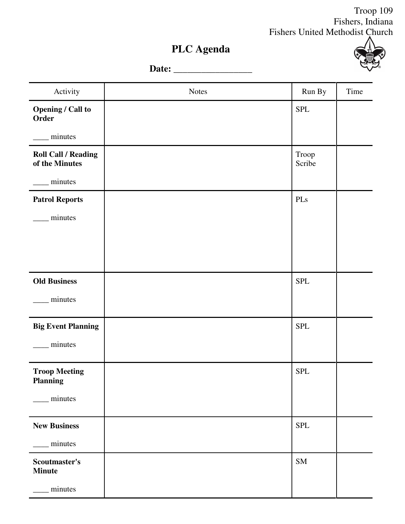## Troop 109 Fishers, Indiana Fishers United Methodist Church

T

## **PLC Agenda**

**Date:** \_\_\_\_\_\_\_\_\_\_\_\_\_\_\_\_\_



| Activity                                     | <b>Notes</b> | Run By          | Time |
|----------------------------------------------|--------------|-----------------|------|
| <b>Opening / Call to</b><br>Order            |              | ${\rm SPL}$     |      |
| minutes                                      |              |                 |      |
| <b>Roll Call / Reading</b><br>of the Minutes |              | Troop<br>Scribe |      |
| minutes                                      |              |                 |      |
| <b>Patrol Reports</b>                        |              | PLs             |      |
| minutes                                      |              |                 |      |
|                                              |              |                 |      |
|                                              |              |                 |      |
| <b>Old Business</b>                          |              | <b>SPL</b>      |      |
| minutes                                      |              |                 |      |
| <b>Big Event Planning</b>                    |              | SPL             |      |
| minutes                                      |              |                 |      |
| <b>Troop Meeting</b><br><b>Planning</b>      |              | <b>SPL</b>      |      |
| minutes                                      |              |                 |      |
| <b>New Business</b>                          |              | <b>SPL</b>      |      |
| minutes                                      |              |                 |      |
| Scoutmaster's<br><b>Minute</b>               |              | ${\rm SM}$      |      |
| minutes                                      |              |                 |      |